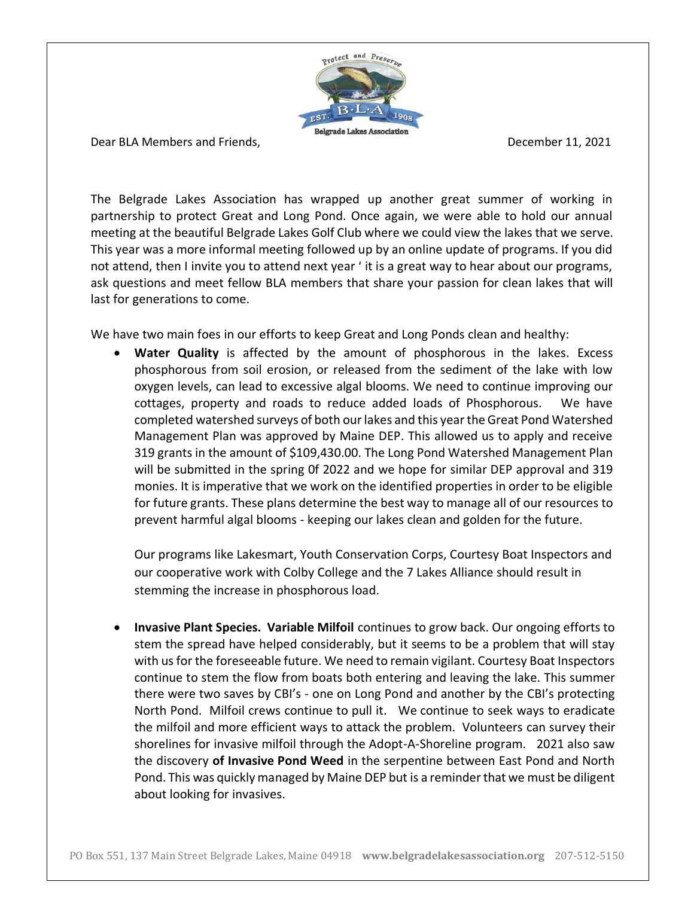

Dear BLA Members and Friends, December 11, 2021

The Belgrade Lakes Association has wrapped up another great summer of working in partnership to protect Great and Long Pond. Once again, we were able to hold our annual meeting at the beautiful Belgrade Lakes Golf Club where we could view the lakes that we serve. This year was a more informal meeting followed up by an online update of programs. If you did not attend, then I invite you to attend next year ' it is a great way to hear about our programs, ask questions and meet fellow BLA members that share your passion for clean lakes that will last for generations to come.

We have two main foes in our efforts to keep Great and Long Ponds clean and healthy:

• Water Quality is affected by the amount of phosphorous in the lakes. Excess phosphorous from soil erosion, or released from the sediment of the lake with low oxygen levels, can lead to excessive algal blooms. We need to continue improving our cottages, property and roads to reduce added loads of Phosphorous. We have completed watershed surveys of both our lakes and this year the Great Pond Watershed Management Plan was approved by Maine DEP. This allowed us to apply and receive 319 grants in the amount of \$109,430.00. The Long Pond Watershed Management Plan will be submitted in the spring 0f 2022 and we hope for similar DEP approval and 319 monies. It is imperative that we work on the identified properties in order to be eligible for future grants. These plans determine the best way to manage all of our resources to prevent harmful algal blooms - keeping our lakes clean and golden for the future.

Our programs like Lakesmart, Youth Conservation Corps, Courtesy Boat Inspectors and our cooperative work with Colby College and the 7 Lakes Alliance should result in stemming the increase in phosphorous load.

x **Invasive Plant Species. Variable Milfoil** continues to grow back. Our ongoing efforts to stem the spread have helped considerably, but it seems to be a problem that will stay with us for the foreseeable future. We need to remain vigilant. Courtesy Boat Inspectors continue to stem the flow from boats both entering and leaving the lake. This summer there were two saves by CBI's - one on Long Pond and another by the CBI's protecting North Pond. Milfoil crews continue to pull it. We continue to seek ways to eradicate the milfoil and more efficient ways to attack the problem. Volunteers can survey their shorelines for invasive milfoil through the Adopt-A-Shoreline program. 2021 also saw the discovery **of Invasive Pond Weed** in the serpentine between East Pond and North Pond. This was quickly managed by Maine DEP but is a reminder that we must be diligent about looking for invasives.